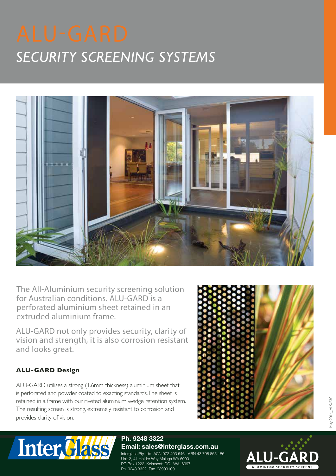# *SECURITY SCREENING SYSTEMS*



The All-Aluminium security screening solution for Australian conditions. ALU-GARD is a perforated aluminium sheet retained in an extruded aluminium frame.

ALU-GARD not only provides security, clarity of vision and strength, it is also corrosion resistant and looks great.

# **ALU-GARD Design**

ALU-GARD utilises a strong (1.6mm thickness) aluminium sheet that is perforated and powder coated to exacting standards. The sheet is retained in a frame with our riveted aluminium wedge retention system. The resulting screen is strong, extremely resistant to corrosion and provides clarity of vision.





#### **Ph. 9248 3322 Email: sales@interglass.com.au**

Interglass Pty. Ltd. ACN 072 403 546 ABN 43 798 865 186 Unit 2, 41 Holder Way Malaga WA 6090 PO Box 1222, Kelmscott DC. WA 6997 Ph. 9248 3322 Fax. 93999109